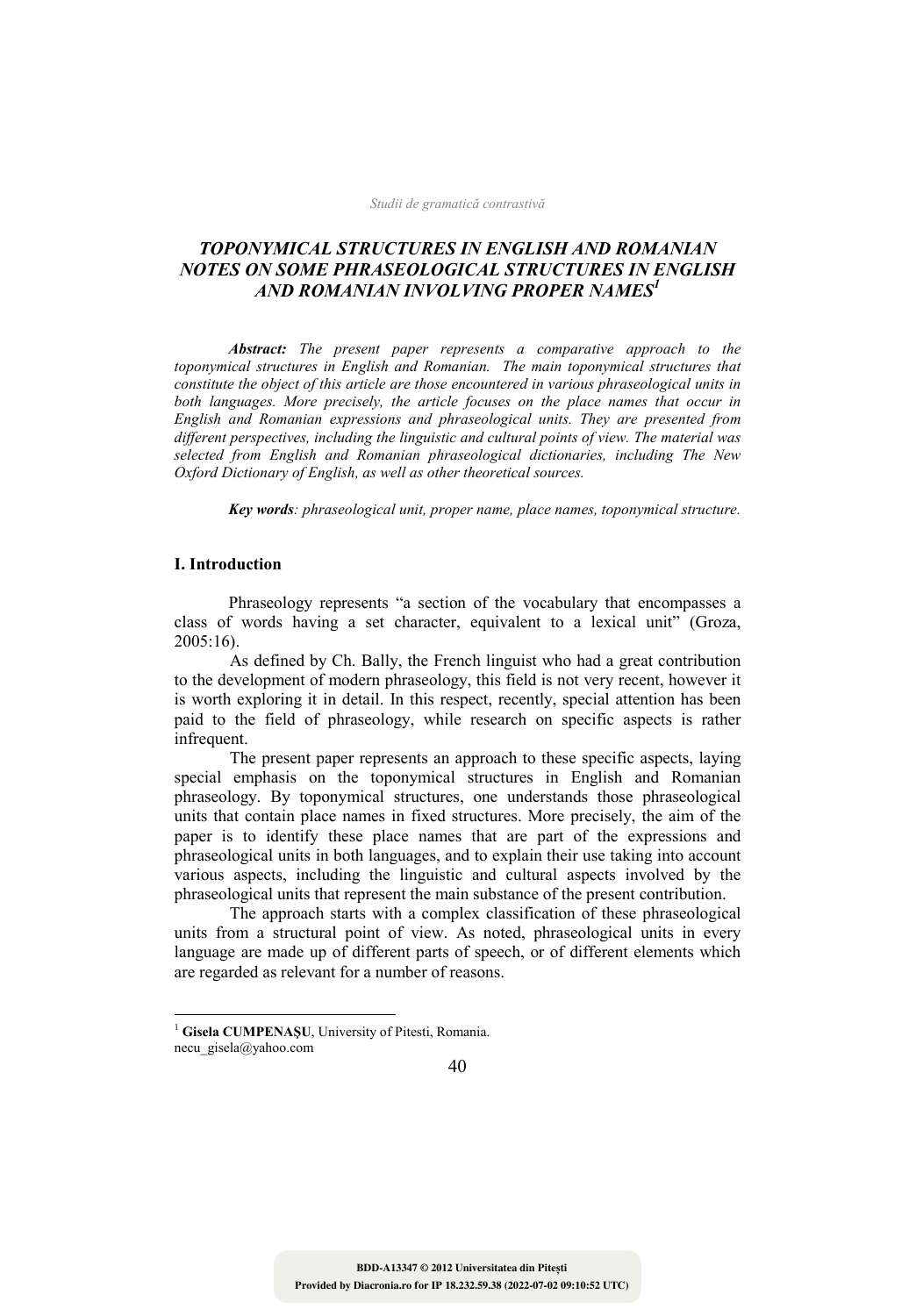# **TOPONYMICAL STRUCTURES IN ENGLISH AND ROMANIAN NOTES ON SOME PHRASEOLOGICAL STRUCTURES IN ENGLISH AND ROMANIAN INVOLVING PROPER NAMES<sup>1</sup>**

 *Abstract: The present paper represents a comparative approach to the toponymical structures in English and Romanian. The main toponymical structures that constitute the object of this article are those encountered in various phraseological units in*  both languages. More precisely, the article focuses on the place names that occur in *English and Romanian expressions and phraseological units. They are presented from different perspectives, including the linguistic and cultural points of view. The material was*  selected from English and Romanian phraseological dictionaries, including The New *Oxford Dictionary of English, as well as other theoretical sources.* 

 *Key words: phraseological unit, proper name, place names, toponymical structure.*

## **I. Introduction**

 $\overline{a}$ 

Phraseology represents "a section of the vocabulary that encompasses a class of words having a set character, equivalent to a lexical unit" (Groza, 2005:16).

As defined by Ch. Bally, the French linguist who had a great contribution to the development of modern phraseology, this field is not very recent, however it is worth exploring it in detail. In this respect, recently, special attention has been paid to the field of phraseology, while research on specific aspects is rather infrequent.

The present paper represents an approach to these specific aspects, laying special emphasis on the toponymical structures in English and Romanian phraseology. By toponymical structures, one understands those phraseological units that contain place names in fixed structures. More precisely, the aim of the paper is to identify these place names that are part of the expressions and phraseological units in both languages, and to explain their use taking into account various aspects, including the linguistic and cultural aspects involved by the phraseological units that represent the main substance of the present contribution.

The approach starts with a complex classification of these phraseological units from a structural point of view. As noted, phraseological units in every language are made up of different parts of speech, or of different elements which are regarded as relevant for a number of reasons.

<sup>&</sup>lt;sup>1</sup> Gisela CUMPENAȘU, University of Pitesti, Romania. necu\_gisela@yahoo.com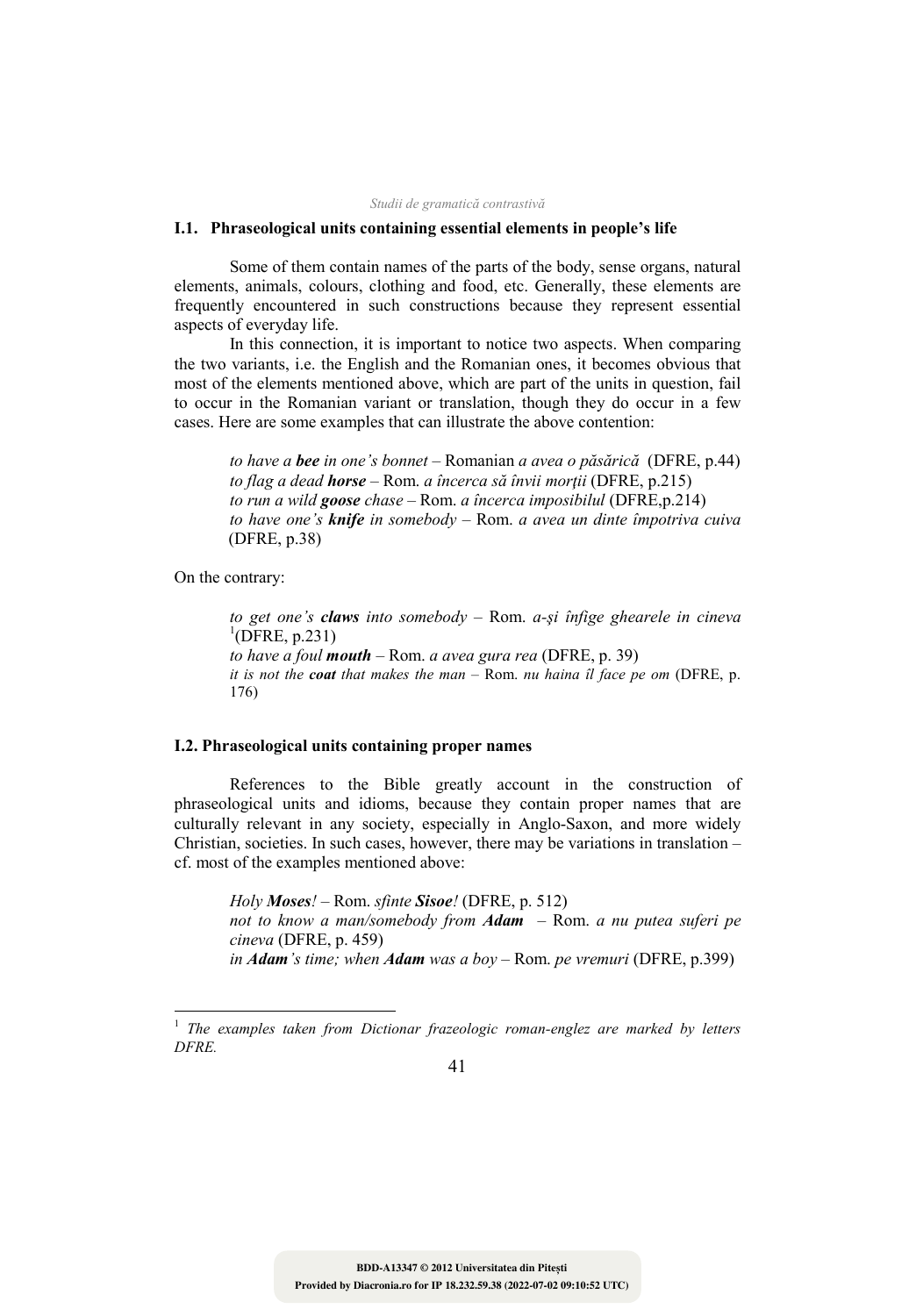## **I.1. Phraseological units containing essential elements in people's life**

Some of them contain names of the parts of the body, sense organs, natural elements, animals, colours, clothing and food, etc. Generally, these elements are frequently encountered in such constructions because they represent essential aspects of everyday life.

In this connection, it is important to notice two aspects. When comparing the two variants, i.e. the English and the Romanian ones, it becomes obvious that most of the elements mentioned above, which are part of the units in question, fail to occur in the Romanian variant or translation, though they do occur in a few cases. Here are some examples that can illustrate the above contention:

*to have a bee in one's bonnet –* Romanian *a avea o păsărică* (DFRE, p.44) *to flag a dead horse –* Rom. *a încerca să învii morţii* (DFRE, p.215) *to run a wild goose chase –* Rom. *a încerca imposibilul* (DFRE,p.214) *to have one's knife in somebody –* Rom. *a avea un dinte împotriva cuiva* (DFRE, p.38)

On the contrary:

 $\overline{a}$ 

*to get one's claws into somebody* – Rom. *a-şi înfige ghearele in cineva*  ${}^{1}$ (DFRE, p.231) *to have a foul mouth* – Rom. *a avea gura rea* (DFRE, p. 39) *it is not the coat that makes the man* – Rom. *nu haina îl face pe om* (DFRE, p. 176)

## **I.2. Phraseological units containing proper names**

References to the Bible greatly account in the construction of phraseological units and idioms, because they contain proper names that are culturally relevant in any society, especially in Anglo-Saxon, and more widely Christian, societies. In such cases, however, there may be variations in translation  $$ cf. most of the examples mentioned above:

*Holy Moses! –* Rom. *sfinte Sisoe!* (DFRE, p. 512) *not to know a man/somebody from Adam –* Rom. *a nu putea suferi pe cineva* (DFRE, p. 459) *in Adam's time; when Adam was a boy –* Rom. *pe vremuri* (DFRE, p.399)

<sup>1</sup> *The examples taken from Dictionar frazeologic roman-englez are marked by letters DFRE.*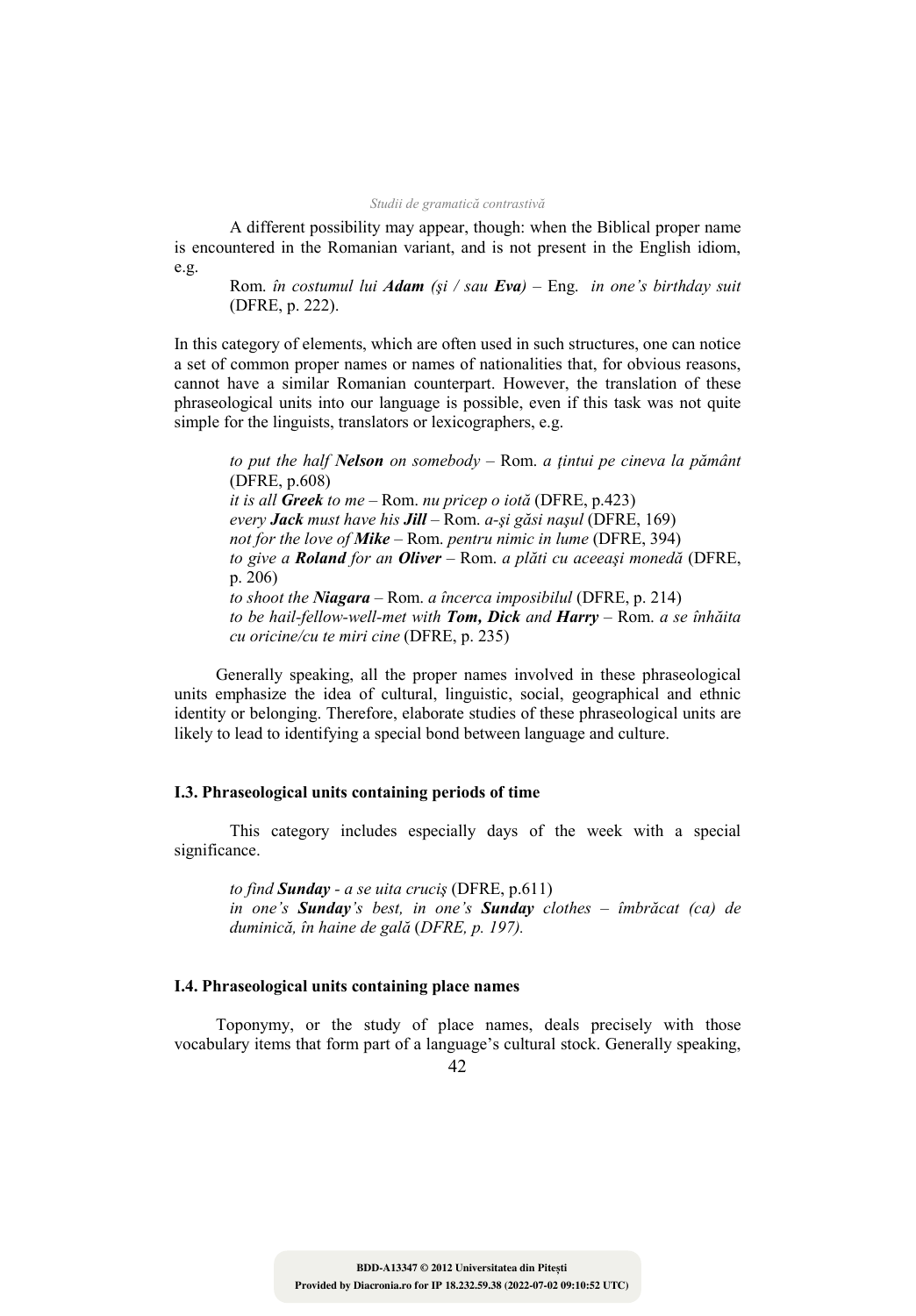A different possibility may appear, though: when the Biblical proper name is encountered in the Romanian variant, and is not present in the English idiom, e.g.

Rom. *în costumul lui Adam (şi / sau Eva) –* Eng. *in one's birthday suit* (DFRE, p. 222).

In this category of elements, which are often used in such structures, one can notice a set of common proper names or names of nationalities that, for obvious reasons, cannot have a similar Romanian counterpart. However, the translation of these phraseological units into our language is possible, even if this task was not quite simple for the linguists, translators or lexicographers, e.g.

*to put the half elson on somebody –* Rom. *a ţintui pe cineva la pământ* (DFRE, p.608) *it is all Greek to me –* Rom. *nu pricep o iotă* (DFRE, p.423) *every Jack must have his Jill –* Rom. *a-şi găsi naşul* (DFRE, 169) *not for the love of Mike –* Rom. *pentru nimic in lume* (DFRE, 394) *to give a Roland for an Oliver –* Rom. *a plăti cu aceeaşi monedă* (DFRE, p. 206) *to shoot the iagara –* Rom. *a încerca imposibilul* (DFRE, p. 214) *to be hail-fellow-well-met with Tom, Dick and Harry –* Rom. *a se înhăita cu oricine/cu te miri cine* (DFRE, p. 235)

Generally speaking, all the proper names involved in these phraseological units emphasize the idea of cultural, linguistic, social, geographical and ethnic identity or belonging. Therefore, elaborate studies of these phraseological units are likely to lead to identifying a special bond between language and culture.

## **I.3. Phraseological units containing periods of time**

This category includes especially days of the week with a special significance.

*to find Sunday - a se uita cruciş* (DFRE, p.611) *in one's Sunday's best, in one's Sunday clothes – îmbrăcat (ca) de duminică, în haine de gală* (*DFRE, p. 197).* 

## **I.4. Phraseological units containing place names**

Toponymy, or the study of place names, deals precisely with those vocabulary items that form part of a language's cultural stock. Generally speaking,

 $42$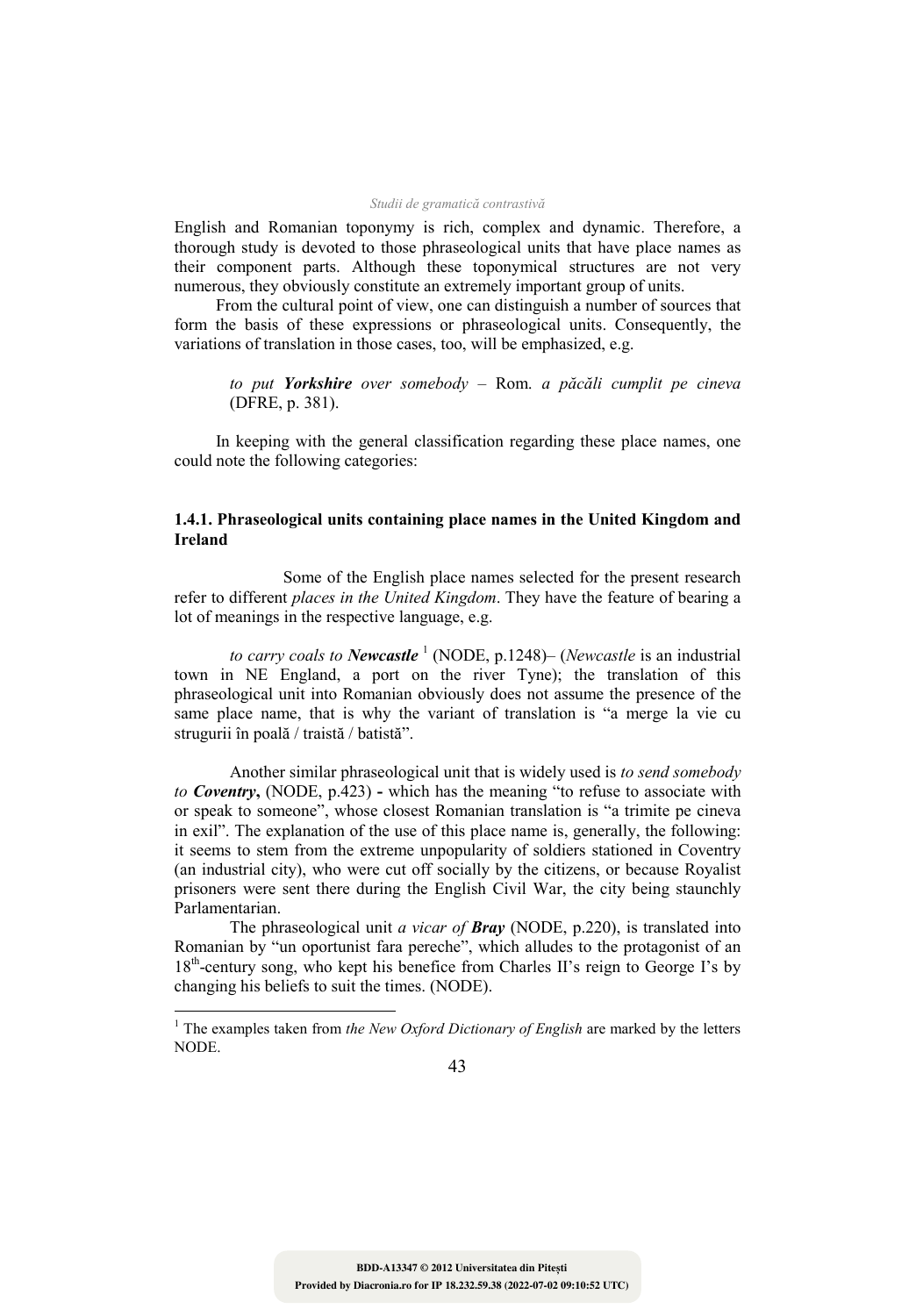English and Romanian toponymy is rich, complex and dynamic. Therefore, a thorough study is devoted to those phraseological units that have place names as their component parts. Although these toponymical structures are not very numerous, they obviously constitute an extremely important group of units.

From the cultural point of view, one can distinguish a number of sources that form the basis of these expressions or phraseological units. Consequently, the variations of translation in those cases, too, will be emphasized, e.g.

*to put Yorkshire over somebody –* Rom. *a păcăli cumplit pe cineva* (DFRE, p. 381).

In keeping with the general classification regarding these place names, one could note the following categories:

## **1.4.1. Phraseological units containing place names in the United Kingdom and Ireland**

 Some of the English place names selected for the present research refer to different *places in the United Kingdom*. They have the feature of bearing a lot of meanings in the respective language, e.g.

to carry coals to Newcastle<sup>1</sup> (NODE, p.1248)– (*Newcastle* is an industrial town in NE England, a port on the river Tyne); the translation of this phraseological unit into Romanian obviously does not assume the presence of the same place name, that is why the variant of translation is "a merge la vie cu strugurii în poală / traistă / batistă".

Another similar phraseological unit that is widely used is *to send somebody to Coventry***,** (NODE, p.423) **-** which has the meaning "to refuse to associate with or speak to someone", whose closest Romanian translation is "a trimite pe cineva in exil". The explanation of the use of this place name is, generally, the following: it seems to stem from the extreme unpopularity of soldiers stationed in Coventry (an industrial city), who were cut off socially by the citizens, or because Royalist prisoners were sent there during the English Civil War, the city being staunchly Parlamentarian.

The phraseological unit *a vicar of Bray* (NODE, p.220), is translated into Romanian by "un oportunist fara pereche", which alludes to the protagonist of an 18<sup>th</sup>-century song, who kept his benefice from Charles II's reign to George I's by changing his beliefs to suit the times. (NODE).

 $\overline{a}$ 

<sup>&</sup>lt;sup>1</sup> The examples taken from *the New Oxford Dictionary of English* are marked by the letters NODE.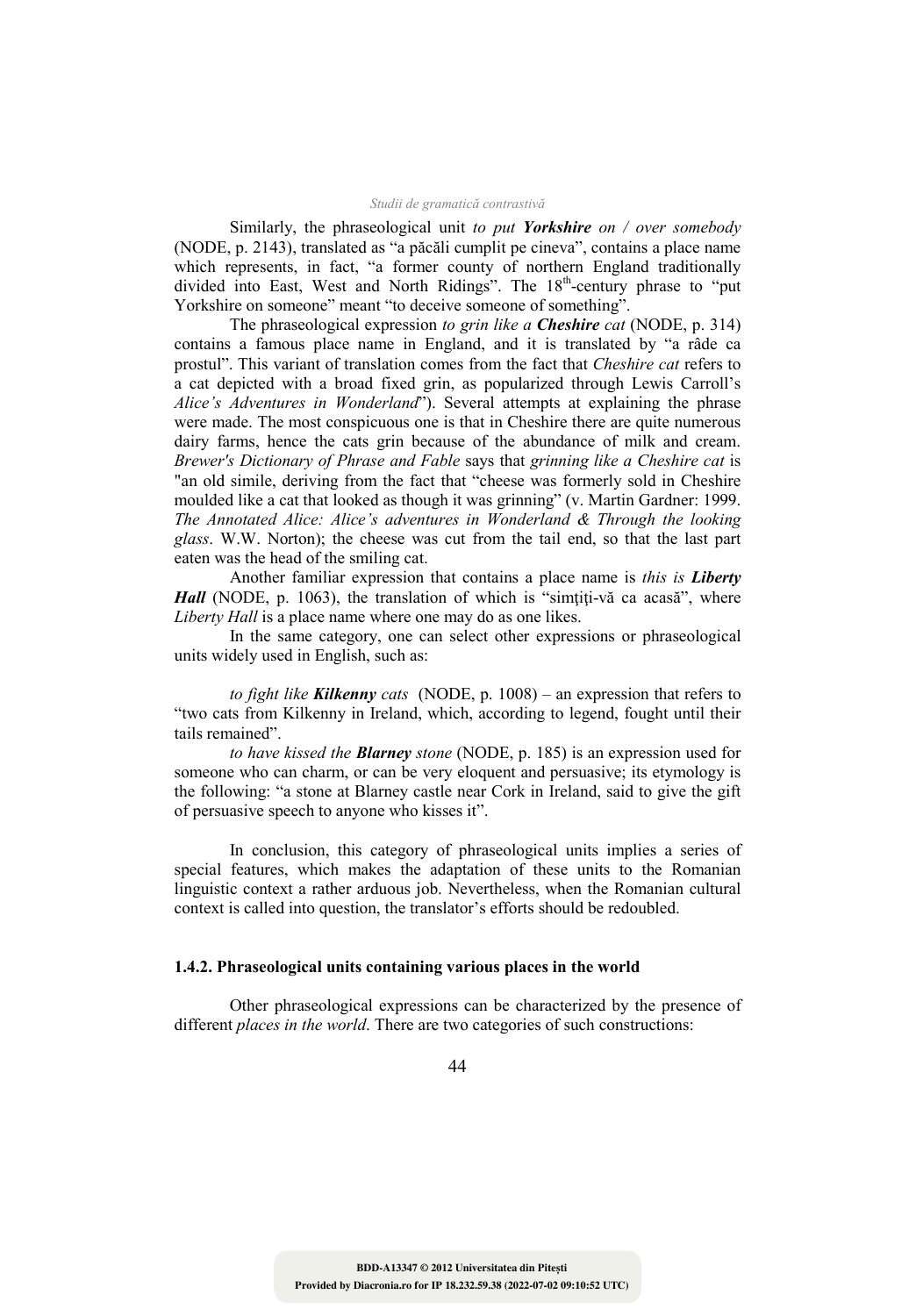Similarly, the phraseological unit *to put Yorkshire on / over somebody* (NODE, p. 2143), translated as "a păcăli cumplit pe cineva", contains a place name which represents, in fact, "a former county of northern England traditionally divided into East, West and North Ridings". The 18<sup>th</sup>-century phrase to "put Yorkshire on someone" meant "to deceive someone of something".

The phraseological expression *to grin like a Cheshire cat* (NODE, p. 314) contains a famous place name in England, and it is translated by "a râde ca prostul". This variant of translation comes from the fact that *Cheshire cat* refers to a cat depicted with a broad fixed grin, as popularized through Lewis Carroll's *Alice's Adventures in Wonderland*"). Several attempts at explaining the phrase were made. The most conspicuous one is that in Cheshire there are quite numerous dairy farms, hence the cats grin because of the abundance of milk and cream. *Brewer's Dictionary of Phrase and Fable* says that *grinning like a Cheshire cat* is "an old simile, deriving from the fact that "cheese was formerly sold in Cheshire moulded like a cat that looked as though it was grinning" (v. Martin Gardner: 1999. *The Annotated Alice: Alice's adventures in Wonderland & Through the looking glass*. W.W. Norton); the cheese was cut from the tail end, so that the last part eaten was the head of the smiling cat.

Another familiar expression that contains a place name is *this is Liberty Hall* (NODE, p. 1063), the translation of which is "simțiți-vă ca acasă", where *Liberty Hall* is a place name where one may do as one likes.

In the same category, one can select other expressions or phraseological units widely used in English, such as:

*to fight like Kilkenny cats* (NODE, p. 1008) – an expression that refers to "two cats from Kilkenny in Ireland, which, according to legend, fought until their tails remained".

*to have kissed the Blarney stone* (NODE, p. 185) is an expression used for someone who can charm, or can be very eloquent and persuasive; its etymology is the following: "a stone at Blarney castle near Cork in Ireland, said to give the gift of persuasive speech to anyone who kisses it".

In conclusion, this category of phraseological units implies a series of special features, which makes the adaptation of these units to the Romanian linguistic context a rather arduous job. Nevertheless, when the Romanian cultural context is called into question, the translator's efforts should be redoubled.

## **1.4.2. Phraseological units containing various places in the world**

Other phraseological expressions can be characterized by the presence of different *places in the world*. There are two categories of such constructions: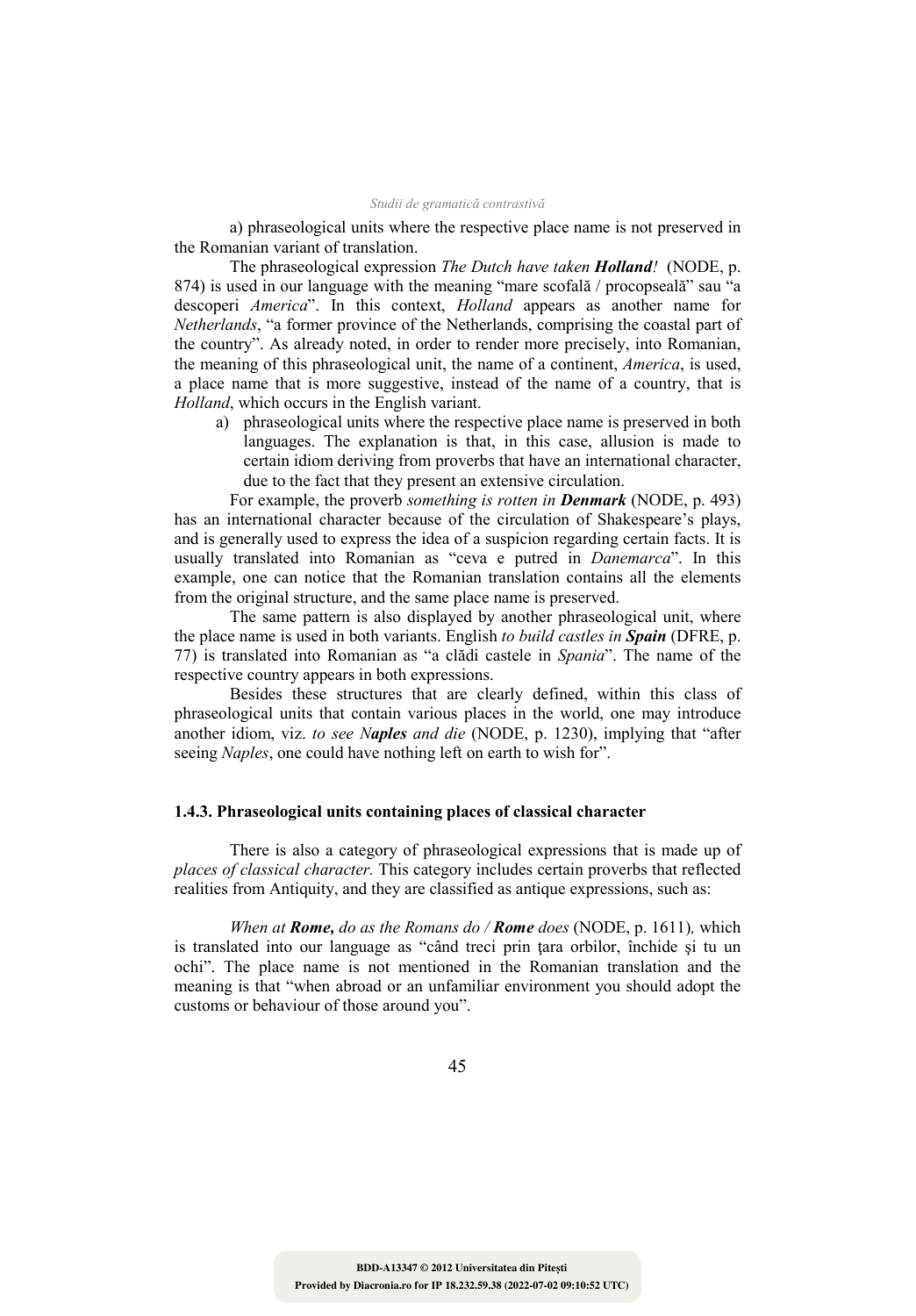a) phraseological units where the respective place name is not preserved in the Romanian variant of translation.

The phraseological expression *The Dutch have taken Holland!* (NODE, p. 874) is used in our language with the meaning "mare scofală / procopseală" sau "a descoperi *America*". In this context, *Holland* appears as another name for *Netherlands*, "a former province of the Netherlands, comprising the coastal part of the country". As already noted, in order to render more precisely, into Romanian, the meaning of this phraseological unit, the name of a continent, *America*, is used, a place name that is more suggestive, instead of the name of a country, that is *Holland*, which occurs in the English variant.

a) phraseological units where the respective place name is preserved in both languages. The explanation is that, in this case, allusion is made to certain idiom deriving from proverbs that have an international character, due to the fact that they present an extensive circulation.

For example, the proverb *something is rotten in Denmark* (NODE, p. 493) has an international character because of the circulation of Shakespeare's plays, and is generally used to express the idea of a suspicion regarding certain facts. It is usually translated into Romanian as "ceva e putred in *Danemarca*". In this example, one can notice that the Romanian translation contains all the elements from the original structure, and the same place name is preserved.

The same pattern is also displayed by another phraseological unit, where the place name is used in both variants. English *to build castles in Spain* (DFRE, p. 77) is translated into Romanian as "a clădi castele in *Spania*". The name of the respective country appears in both expressions.

Besides these structures that are clearly defined, within this class of phraseological units that contain various places in the world, one may introduce another idiom, viz. *to see 'aples and die* (NODE, p. 1230), implying that "after seeing *Naples*, one could have nothing left on earth to wish for".

### **1.4.3. Phraseological units containing places of classical character**

There is also a category of phraseological expressions that is made up of *places of classical character.* This category includes certain proverbs that reflected realities from Antiquity, and they are classified as antique expressions, such as:

*When at Rome, do as the Romans do / Rome does* (NODE, p. 1611)*,* which is translated into our language as "când treci prin ţara orbilor, închide şi tu un ochi". The place name is not mentioned in the Romanian translation and the meaning is that "when abroad or an unfamiliar environment you should adopt the customs or behaviour of those around you".